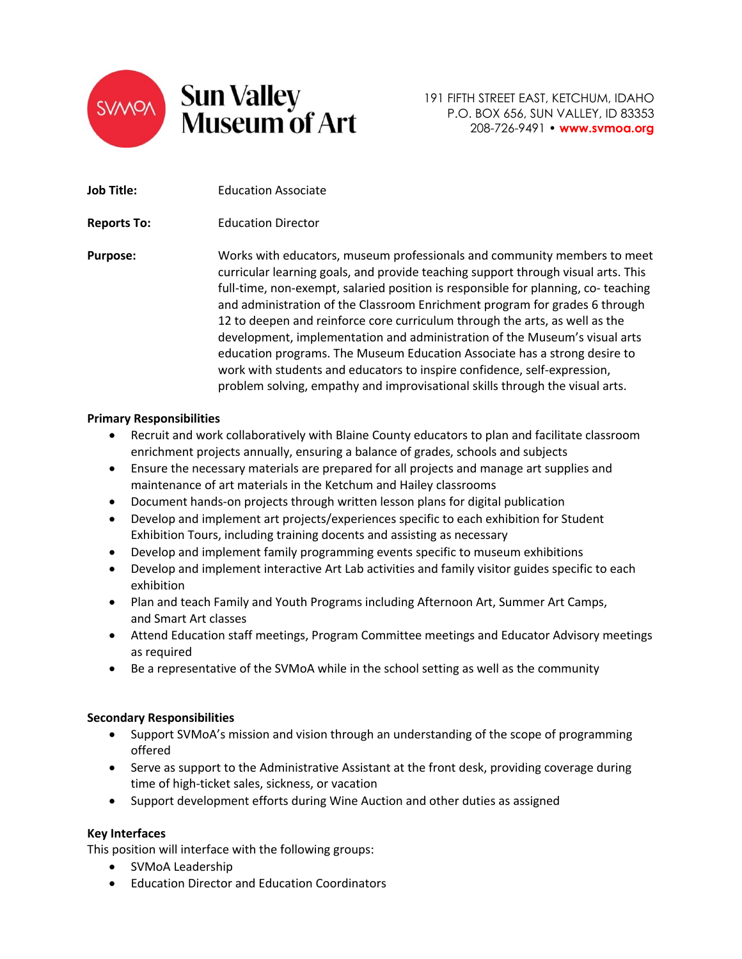

| <b>Job Title:</b>  | <b>Education Associate</b>                                                                                                                                                                                                                                                                                                                                                                                                                                                                                                                                                                                                                              |
|--------------------|---------------------------------------------------------------------------------------------------------------------------------------------------------------------------------------------------------------------------------------------------------------------------------------------------------------------------------------------------------------------------------------------------------------------------------------------------------------------------------------------------------------------------------------------------------------------------------------------------------------------------------------------------------|
| <b>Reports To:</b> | <b>Education Director</b>                                                                                                                                                                                                                                                                                                                                                                                                                                                                                                                                                                                                                               |
| <b>Purpose:</b>    | Works with educators, museum professionals and community members to meet<br>curricular learning goals, and provide teaching support through visual arts. This<br>full-time, non-exempt, salaried position is responsible for planning, co-teaching<br>and administration of the Classroom Enrichment program for grades 6 through<br>12 to deepen and reinforce core curriculum through the arts, as well as the<br>development, implementation and administration of the Museum's visual arts<br>education programs. The Museum Education Associate has a strong desire to<br>work with students and educators to inspire confidence, self-expression, |

### **Primary Responsibilities**

• Recruit and work collaboratively with Blaine County educators to plan and facilitate classroom enrichment projects annually, ensuring a balance of grades, schools and subjects

problem solving, empathy and improvisational skills through the visual arts.

- Ensure the necessary materials are prepared for all projects and manage art supplies and maintenance of art materials in the Ketchum and Hailey classrooms
- Document hands-on projects through written lesson plans for digital publication
- Develop and implement art projects/experiences specific to each exhibition for Student Exhibition Tours, including training docents and assisting as necessary
- Develop and implement family programming events specific to museum exhibitions
- Develop and implement interactive Art Lab activities and family visitor guides specific to each exhibition
- Plan and teach Family and Youth Programs including Afternoon Art, Summer Art Camps, and Smart Art classes
- Attend Education staff meetings, Program Committee meetings and Educator Advisory meetings as required
- Be a representative of the SVMoA while in the school setting as well as the community

#### **Secondary Responsibilities**

- Support SVMoA's mission and vision through an understanding of the scope of programming offered
- Serve as support to the Administrative Assistant at the front desk, providing coverage during time of high-ticket sales, sickness, or vacation
- Support development efforts during Wine Auction and other duties as assigned

#### **Key Interfaces**

This position will interface with the following groups:

- SVMoA Leadership
- Education Director and Education Coordinators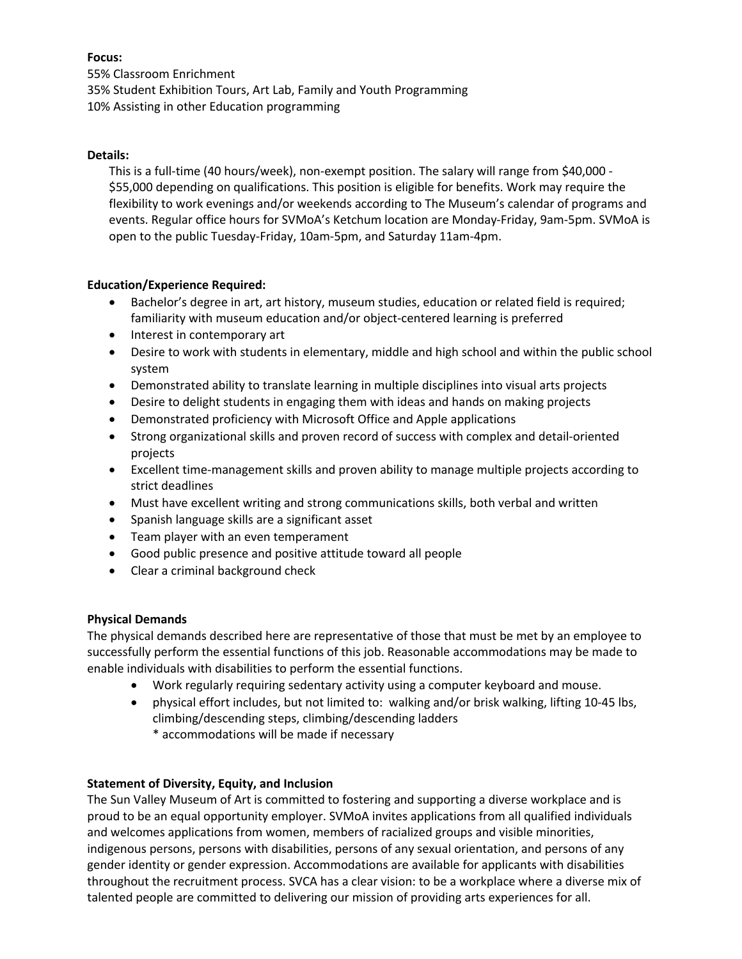# **Focus:**

55% Classroom Enrichment 35% Student Exhibition Tours, Art Lab, Family and Youth Programming 10% Assisting in other Education programming

### **Details:**

This is a full-time (40 hours/week), non-exempt position. The salary will range from \$40,000 - \$55,000 depending on qualifications. This position is eligible for benefits. Work may require the flexibility to work evenings and/or weekends according to The Museum's calendar of programs and events. Regular office hours for SVMoA's Ketchum location are Monday-Friday, 9am-5pm. SVMoA is open to the public Tuesday-Friday, 10am-5pm, and Saturday 11am-4pm.

# **Education/Experience Required:**

- Bachelor's degree in art, art history, museum studies, education or related field is required; familiarity with museum education and/or object-centered learning is preferred
- Interest in contemporary art
- Desire to work with students in elementary, middle and high school and within the public school system
- Demonstrated ability to translate learning in multiple disciplines into visual arts projects
- Desire to delight students in engaging them with ideas and hands on making projects
- Demonstrated proficiency with Microsoft Office and Apple applications
- Strong organizational skills and proven record of success with complex and detail-oriented projects
- Excellent time-management skills and proven ability to manage multiple projects according to strict deadlines
- Must have excellent writing and strong communications skills, both verbal and written
- Spanish language skills are a significant asset
- Team player with an even temperament
- Good public presence and positive attitude toward all people
- Clear a criminal background check

# **Physical Demands**

The physical demands described here are representative of those that must be met by an employee to successfully perform the essential functions of this job. Reasonable accommodations may be made to enable individuals with disabilities to perform the essential functions.

- Work regularly requiring sedentary activity using a computer keyboard and mouse.
- physical effort includes, but not limited to: walking and/or brisk walking, lifting 10-45 lbs, climbing/descending steps, climbing/descending ladders
	- \* accommodations will be made if necessary

# **Statement of Diversity, Equity, and Inclusion**

The Sun Valley Museum of Art is committed to fostering and supporting a diverse workplace and is proud to be an equal opportunity employer. SVMoA invites applications from all qualified individuals and welcomes applications from women, members of racialized groups and visible minorities, indigenous persons, persons with disabilities, persons of any sexual orientation, and persons of any gender identity or gender expression. Accommodations are available for applicants with disabilities throughout the recruitment process. SVCA has a clear vision: to be a workplace where a diverse mix of talented people are committed to delivering our mission of providing arts experiences for all.